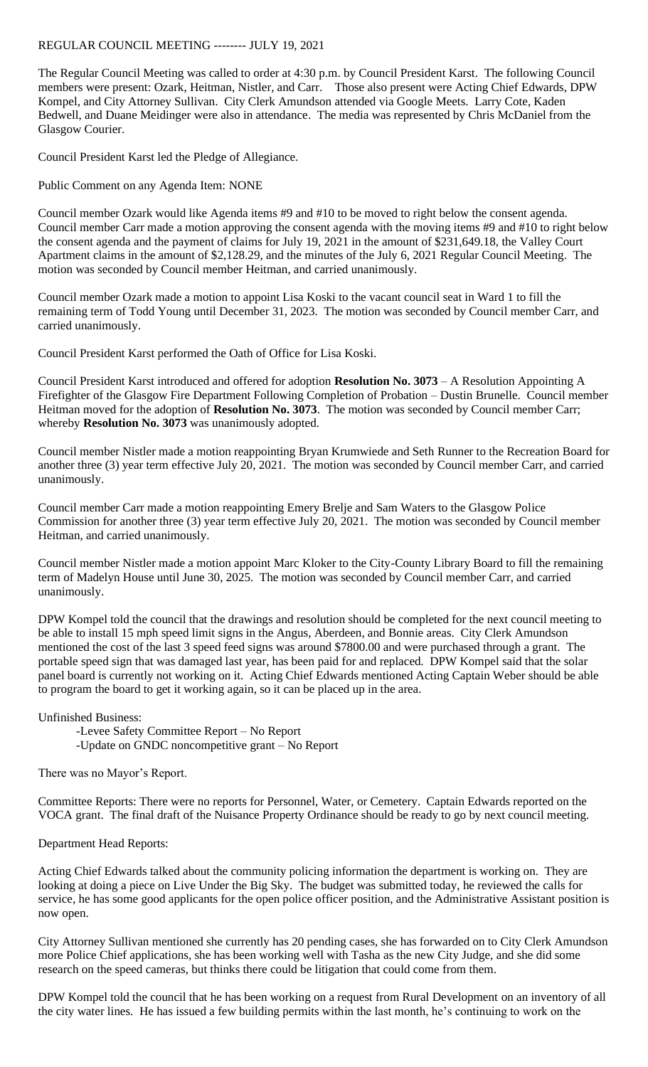## REGULAR COUNCIL MEETING -------- JULY 19, 2021

The Regular Council Meeting was called to order at 4:30 p.m. by Council President Karst. The following Council members were present: Ozark, Heitman, Nistler, and Carr. Those also present were Acting Chief Edwards, DPW Kompel, and City Attorney Sullivan. City Clerk Amundson attended via Google Meets. Larry Cote, Kaden Bedwell, and Duane Meidinger were also in attendance. The media was represented by Chris McDaniel from the Glasgow Courier.

Council President Karst led the Pledge of Allegiance.

Public Comment on any Agenda Item: NONE

Council member Ozark would like Agenda items #9 and #10 to be moved to right below the consent agenda. Council member Carr made a motion approving the consent agenda with the moving items #9 and #10 to right below the consent agenda and the payment of claims for July 19, 2021 in the amount of \$231,649.18, the Valley Court Apartment claims in the amount of \$2,128.29, and the minutes of the July 6, 2021 Regular Council Meeting. The motion was seconded by Council member Heitman, and carried unanimously.

Council member Ozark made a motion to appoint Lisa Koski to the vacant council seat in Ward 1 to fill the remaining term of Todd Young until December 31, 2023. The motion was seconded by Council member Carr, and carried unanimously.

Council President Karst performed the Oath of Office for Lisa Koski.

Council President Karst introduced and offered for adoption **Resolution No. 3073** – A Resolution Appointing A Firefighter of the Glasgow Fire Department Following Completion of Probation – Dustin Brunelle. Council member Heitman moved for the adoption of **Resolution No. 3073**. The motion was seconded by Council member Carr; whereby **Resolution No. 3073** was unanimously adopted.

Council member Nistler made a motion reappointing Bryan Krumwiede and Seth Runner to the Recreation Board for another three (3) year term effective July 20, 2021. The motion was seconded by Council member Carr, and carried unanimously.

Council member Carr made a motion reappointing Emery Brelje and Sam Waters to the Glasgow Police Commission for another three (3) year term effective July 20, 2021. The motion was seconded by Council member Heitman, and carried unanimously.

Council member Nistler made a motion appoint Marc Kloker to the City-County Library Board to fill the remaining term of Madelyn House until June 30, 2025. The motion was seconded by Council member Carr, and carried unanimously.

DPW Kompel told the council that the drawings and resolution should be completed for the next council meeting to be able to install 15 mph speed limit signs in the Angus, Aberdeen, and Bonnie areas. City Clerk Amundson mentioned the cost of the last 3 speed feed signs was around \$7800.00 and were purchased through a grant. The portable speed sign that was damaged last year, has been paid for and replaced. DPW Kompel said that the solar panel board is currently not working on it. Acting Chief Edwards mentioned Acting Captain Weber should be able to program the board to get it working again, so it can be placed up in the area.

Unfinished Business:

-Levee Safety Committee Report – No Report -Update on GNDC noncompetitive grant – No Report

There was no Mayor's Report.

Committee Reports: There were no reports for Personnel, Water, or Cemetery. Captain Edwards reported on the VOCA grant. The final draft of the Nuisance Property Ordinance should be ready to go by next council meeting.

Department Head Reports:

Acting Chief Edwards talked about the community policing information the department is working on. They are looking at doing a piece on Live Under the Big Sky. The budget was submitted today, he reviewed the calls for service, he has some good applicants for the open police officer position, and the Administrative Assistant position is now open.

City Attorney Sullivan mentioned she currently has 20 pending cases, she has forwarded on to City Clerk Amundson more Police Chief applications, she has been working well with Tasha as the new City Judge, and she did some research on the speed cameras, but thinks there could be litigation that could come from them.

DPW Kompel told the council that he has been working on a request from Rural Development on an inventory of all the city water lines. He has issued a few building permits within the last month, he's continuing to work on the